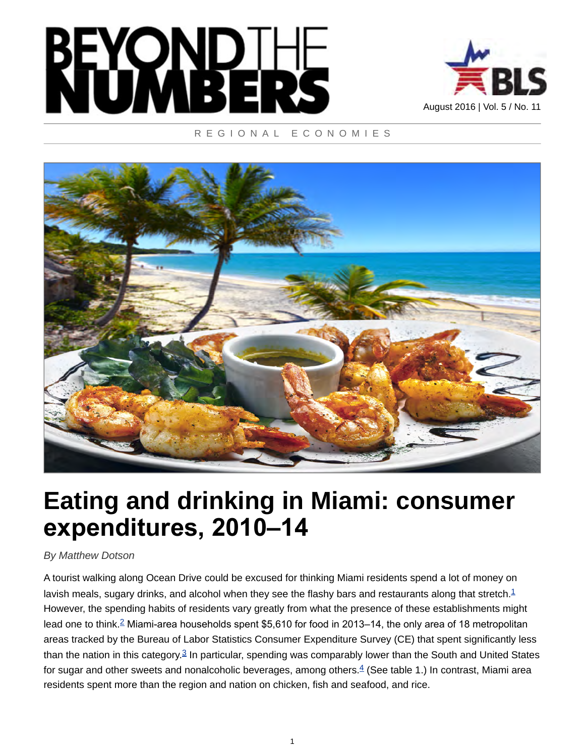



### REGIONAL ECONOMIES



# **Eating and drinking in Miami: consumer expenditures, 2010–14**

### *By Matthew Dotson*

<span id="page-0-3"></span><span id="page-0-2"></span><span id="page-0-1"></span><span id="page-0-0"></span>A tourist walking along Ocean Drive could be excused for thinking Miami residents spend a lot of money on lavish meals, sugary drinks, and alcohol when they see the flashy bars and restaurants along that stretch. $1$ However, the spending habits of residents vary greatly from what the presence of these establishments might lead one to think.<sup>[2](#page-8-1)</sup> Miami-area households spent \$5,610 for food in 2013–14, the only area of 18 metropolitan areas tracked by the Bureau of Labor Statistics Consumer Expenditure Survey (CE) that spent significantly less than the nation in this category.<sup>[3](#page-8-2)</sup> In particular, spending was comparably lower than the South and United States for sugar and other sweets and nonalcoholic beverages, among others.<sup>[4](#page-8-3)</sup> (See table 1.) In contrast, Miami area residents spent more than the region and nation on chicken, fish and seafood, and rice.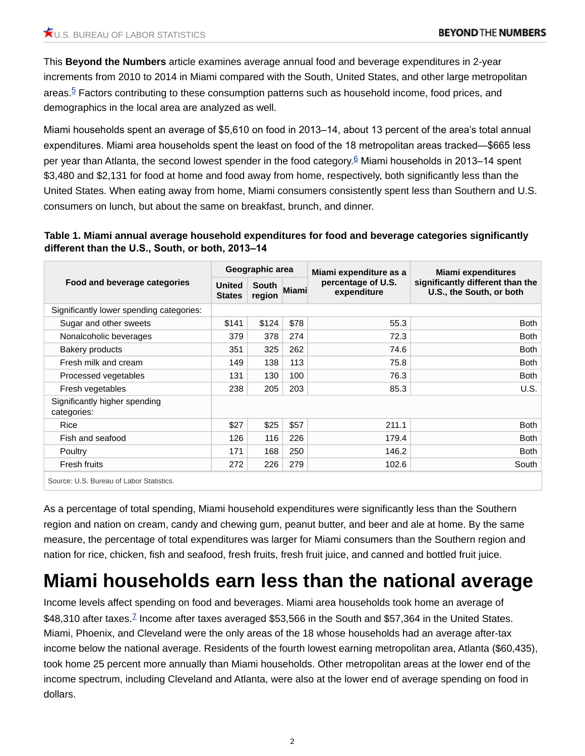<span id="page-1-0"></span>This **Beyond the Numbers** article examines average annual food and beverage expenditures in 2-year increments from 2010 to 2014 in Miami compared with the South, United States, and other large metropolitan areas. $5$  Factors contributing to these consumption patterns such as household income, food prices, and demographics in the local area are analyzed as well.

<span id="page-1-1"></span>Miami households spent an average of \$5,610 on food in 2013–14, about 13 percent of the area's total annual expenditures. Miami area households spent the least on food of the 18 metropolitan areas tracked—\$665 less per year than Atlanta, the second lowest spender in the food category.<sup>[6](#page-8-5)</sup> Miami households in 2013–14 spent \$3,480 and \$2,131 for food at home and food away from home, respectively, both significantly less than the United States. When eating away from home, Miami consumers consistently spent less than Southern and U.S. consumers on lunch, but about the same on breakfast, brunch, and dinner.

**Table 1. Miami annual average household expenditures for food and beverage categories significantly different than the U.S., South, or both, 2013–14**

| Food and beverage categories                 | Geographic area                |                 |       | Miami expenditure as a            | Miami expenditures                                           |  |
|----------------------------------------------|--------------------------------|-----------------|-------|-----------------------------------|--------------------------------------------------------------|--|
|                                              | <b>United</b><br><b>States</b> | South<br>region | Miami | percentage of U.S.<br>expenditure | significantly different than the<br>U.S., the South, or both |  |
| Significantly lower spending categories:     |                                |                 |       |                                   |                                                              |  |
| Sugar and other sweets                       | \$141                          | \$124           | \$78  | 55.3                              | <b>Both</b>                                                  |  |
| Nonalcoholic beverages                       | 379                            | 378             | 274   | 72.3                              | <b>Both</b>                                                  |  |
| <b>Bakery products</b>                       | 351                            | 325             | 262   | 74.6                              | <b>Both</b>                                                  |  |
| Fresh milk and cream                         | 149                            | 138             | 113   | 75.8                              | <b>Both</b>                                                  |  |
| Processed vegetables                         | 131                            | 130             | 100   | 76.3                              | <b>Both</b>                                                  |  |
| Fresh vegetables                             | 238                            | 205             | 203   | 85.3                              | U.S.                                                         |  |
| Significantly higher spending<br>categories: |                                |                 |       |                                   |                                                              |  |
| Rice                                         | \$27                           | \$25            | \$57  | 211.1                             | <b>Both</b>                                                  |  |
| Fish and seafood                             | 126                            | 116             | 226   | 179.4                             | <b>Both</b>                                                  |  |
| Poultry                                      | 171                            | 168             | 250   | 146.2                             | <b>Both</b>                                                  |  |
| <b>Fresh fruits</b>                          | 272                            | 226             | 279   | 102.6                             | South                                                        |  |

Source: U.S. Bureau of Labor Statistics.

As a percentage of total spending, Miami household expenditures were significantly less than the Southern region and nation on cream, candy and chewing gum, peanut butter, and beer and ale at home. By the same measure, the percentage of total expenditures was larger for Miami consumers than the Southern region and nation for rice, chicken, fish and seafood, fresh fruits, fresh fruit juice, and canned and bottled fruit juice.

### **Miami households earn less than the national average**

<span id="page-1-2"></span>Income levels affect spending on food and beverages. Miami area households took home an average of \$48,310 after taxes.<sup>[7](#page-8-6)</sup> Income after taxes averaged \$53,566 in the South and \$57,364 in the United States. Miami, Phoenix, and Cleveland were the only areas of the 18 whose households had an average after-tax income below the national average. Residents of the fourth lowest earning metropolitan area, Atlanta (\$60,435), took home 25 percent more annually than Miami households. Other metropolitan areas at the lower end of the income spectrum, including Cleveland and Atlanta, were also at the lower end of average spending on food in dollars.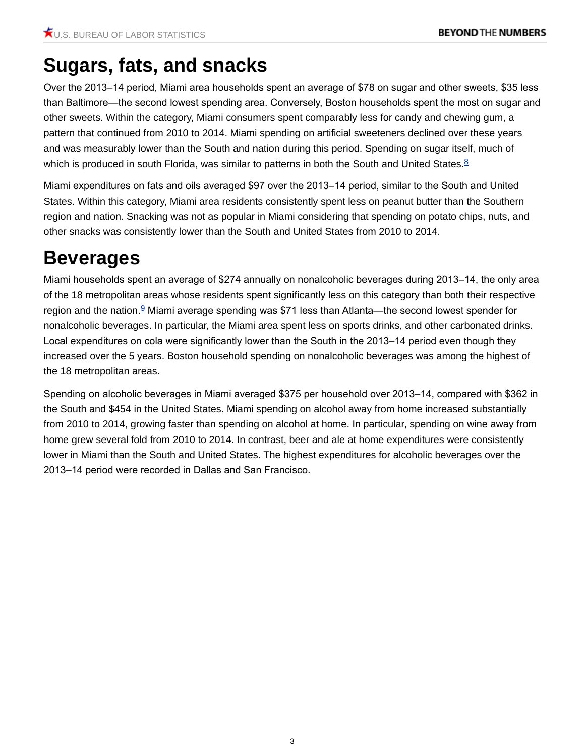# **Sugars, fats, and snacks**

Over the 2013–14 period, Miami area households spent an average of \$78 on sugar and other sweets, \$35 less than Baltimore—the second lowest spending area. Conversely, Boston households spent the most on sugar and other sweets. Within the category, Miami consumers spent comparably less for candy and chewing gum, a pattern that continued from 2010 to 2014. Miami spending on artificial sweeteners declined over these years and was measurably lower than the South and nation during this period. Spending on sugar itself, much of which is produced in south Florida, was similar to patterns in both the South and United States. $8$ 

<span id="page-2-0"></span>Miami expenditures on fats and oils averaged \$97 over the 2013–14 period, similar to the South and United States. Within this category, Miami area residents consistently spent less on peanut butter than the Southern region and nation. Snacking was not as popular in Miami considering that spending on potato chips, nuts, and other snacks was consistently lower than the South and United States from 2010 to 2014.

# **Beverages**

<span id="page-2-1"></span>Miami households spent an average of \$274 annually on nonalcoholic beverages during 2013–14, the only area of the 18 metropolitan areas whose residents spent significantly less on this category than both their respective region and the nation.<sup>[9](#page-8-8)</sup> Miami average spending was \$71 less than Atlanta—the second lowest spender for nonalcoholic beverages. In particular, the Miami area spent less on sports drinks, and other carbonated drinks. Local expenditures on cola were significantly lower than the South in the 2013–14 period even though they increased over the 5 years. Boston household spending on nonalcoholic beverages was among the highest of the 18 metropolitan areas.

Spending on alcoholic beverages in Miami averaged \$375 per household over 2013–14, compared with \$362 in the South and \$454 in the United States. Miami spending on alcohol away from home increased substantially from 2010 to 2014, growing faster than spending on alcohol at home. In particular, spending on wine away from home grew several fold from 2010 to 2014. In contrast, beer and ale at home expenditures were consistently lower in Miami than the South and United States. The highest expenditures for alcoholic beverages over the 2013–14 period were recorded in Dallas and San Francisco.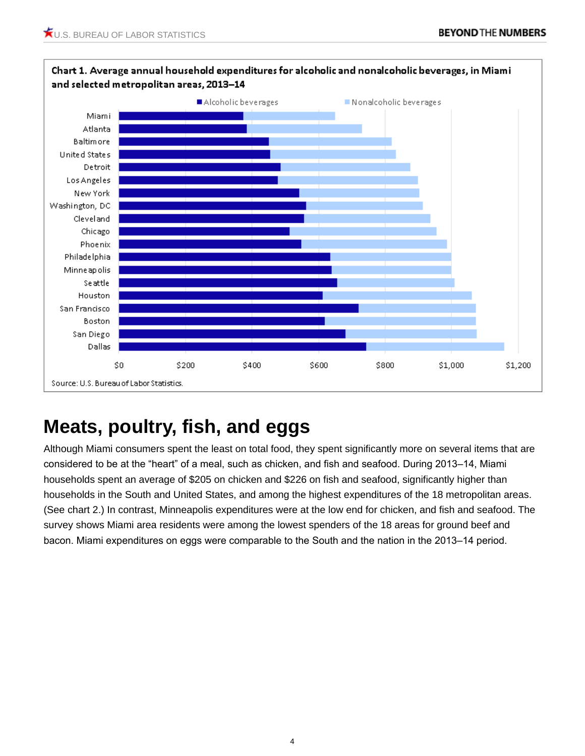

### Chart 1. Average annual household expenditures for alcoholic and nonalcoholic beverages, in Miami

# **Meats, poultry, fish, and eggs**

Although Miami consumers spent the least on total food, they spent significantly more on several items that are considered to be at the "heart" of a meal, such as chicken, and fish and seafood. During 2013–14, Miami households spent an average of \$205 on chicken and \$226 on fish and seafood, significantly higher than households in the South and United States, and among the highest expenditures of the 18 metropolitan areas. (See chart 2.) In contrast, Minneapolis expenditures were at the low end for chicken, and fish and seafood. The survey shows Miami area residents were among the lowest spenders of the 18 areas for ground beef and bacon. Miami expenditures on eggs were comparable to the South and the nation in the 2013–14 period.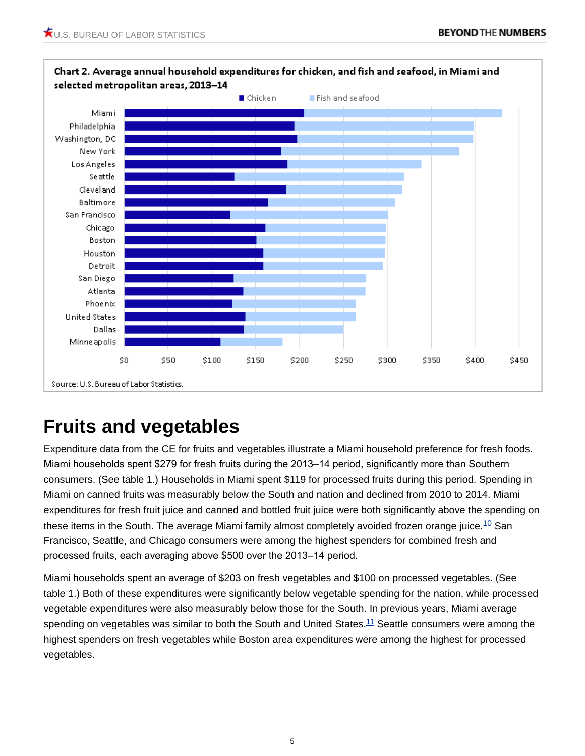

# **Fruits and vegetables**

Expenditure data from the CE for fruits and vegetables illustrate a Miami household preference for fresh foods. Miami households spent \$279 for fresh fruits during the 2013–14 period, significantly more than Southern consumers. (See table 1.) Households in Miami spent \$119 for processed fruits during this period. Spending in Miami on canned fruits was measurably below the South and nation and declined from 2010 to 2014. Miami expenditures for fresh fruit juice and canned and bottled fruit juice were both significantly above the spending on these items in the South. The average Miami family almost completely avoided frozen orange juice.<sup>[10](#page-9-0)</sup> San Francisco, Seattle, and Chicago consumers were among the highest spenders for combined fresh and processed fruits, each averaging above \$500 over the 2013–14 period.

<span id="page-4-1"></span><span id="page-4-0"></span>Miami households spent an average of \$203 on fresh vegetables and \$100 on processed vegetables. (See table 1.) Both of these expenditures were significantly below vegetable spending for the nation, while processed vegetable expenditures were also measurably below those for the South. In previous years, Miami average spending on vegetables was similar to both the South and United States.<sup>[11](#page-9-1)</sup> Seattle consumers were among the highest spenders on fresh vegetables while Boston area expenditures were among the highest for processed vegetables.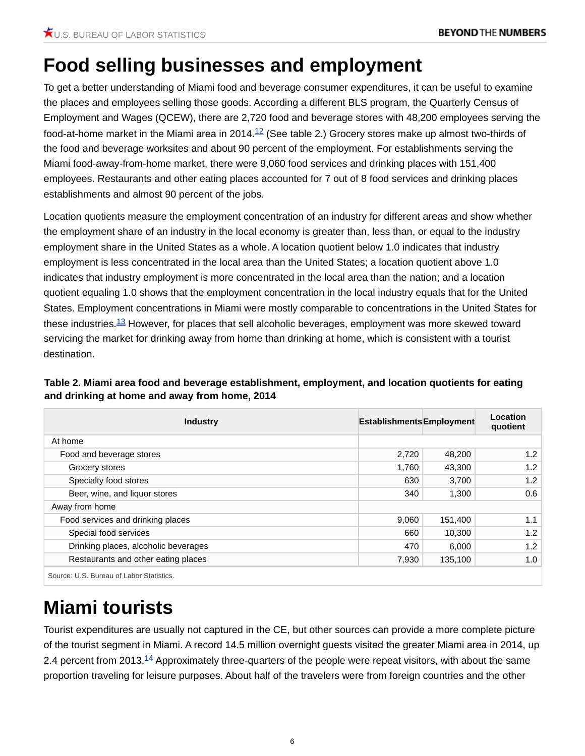### **Food selling businesses and employment**

<span id="page-5-0"></span>To get a better understanding of Miami food and beverage consumer expenditures, it can be useful to examine the places and employees selling those goods. According a different BLS program, the Quarterly Census of Employment and Wages (QCEW), there are 2,720 food and beverage stores with 48,200 employees serving the food-at-home market in the Miami area in 2014.<sup>[12](#page-9-2)</sup> (See table 2.) Grocery stores make up almost two-thirds of the food and beverage worksites and about 90 percent of the employment. For establishments serving the Miami food-away-from-home market, there were 9,060 food services and drinking places with 151,400 employees. Restaurants and other eating places accounted for 7 out of 8 food services and drinking places establishments and almost 90 percent of the jobs.

Location quotients measure the employment concentration of an industry for different areas and show whether the employment share of an industry in the local economy is greater than, less than, or equal to the industry employment share in the United States as a whole. A location quotient below 1.0 indicates that industry employment is less concentrated in the local area than the United States; a location quotient above 1.0 indicates that industry employment is more concentrated in the local area than the nation; and a location quotient equaling 1.0 shows that the employment concentration in the local industry equals that for the United States. Employment concentrations in Miami were mostly comparable to concentrations in the United States for these industries.<sup>[13](#page-9-3)</sup> However, for places that sell alcoholic beverages, employment was more skewed toward servicing the market for drinking away from home than drinking at home, which is consistent with a tourist destination.

<span id="page-5-1"></span>

| Table 2. Miami area food and beverage establishment, employment, and location quotients for eating |
|----------------------------------------------------------------------------------------------------|
| and drinking at home and away from home, 2014                                                      |

| <b>Industry</b>                      | <b>Establishments Employment</b> |         | Location<br>quotient |
|--------------------------------------|----------------------------------|---------|----------------------|
| At home                              |                                  |         |                      |
| Food and beverage stores             | 2,720                            | 48,200  | 1.2                  |
| Grocery stores                       | 1,760                            | 43,300  | 1.2                  |
| Specialty food stores                | 630                              | 3,700   | 1.2                  |
| Beer, wine, and liquor stores        | 340                              | 1,300   | 0.6                  |
| Away from home                       |                                  |         |                      |
| Food services and drinking places    | 9,060                            | 151,400 | 1.1                  |
| Special food services                | 660                              | 10,300  | 1.2                  |
| Drinking places, alcoholic beverages | 470                              | 6,000   | 1.2                  |
| Restaurants and other eating places  | 7,930                            | 135,100 | 1.0                  |

# **Miami tourists**

<span id="page-5-2"></span>Tourist expenditures are usually not captured in the CE, but other sources can provide a more complete picture of the tourist segment in Miami. A record 14.5 million overnight guests visited the greater Miami area in 2014, up 2.4 percent from 2013.<sup>[14](#page-9-4)</sup> Approximately three-quarters of the people were repeat visitors, with about the same proportion traveling for leisure purposes. About half of the travelers were from foreign countries and the other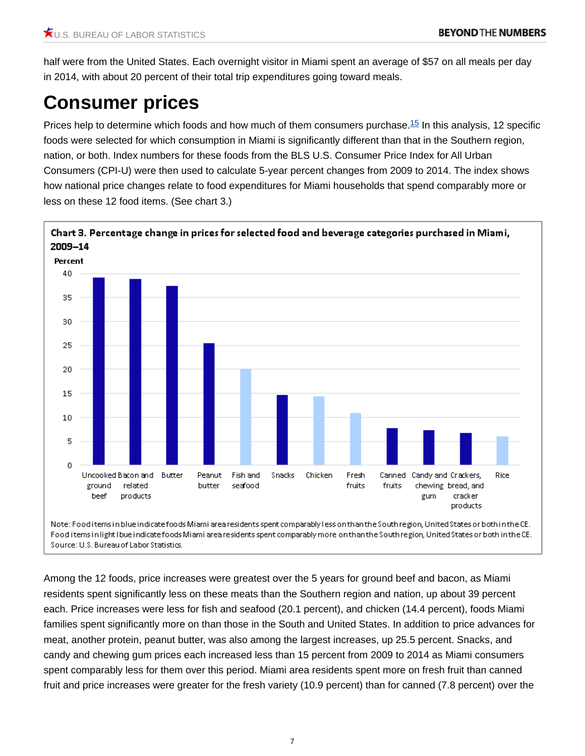half were from the United States. Each overnight visitor in Miami spent an average of \$57 on all meals per day in 2014, with about 20 percent of their total trip expenditures going toward meals.

# **Consumer prices**

<span id="page-6-0"></span>Prices help to determine which foods and how much of them consumers purchase.[15](#page-9-5) In this analysis, 12 specific foods were selected for which consumption in Miami is significantly different than that in the Southern region, nation, or both. Index numbers for these foods from the BLS U.S. Consumer Price Index for All Urban Consumers (CPI-U) were then used to calculate 5-year percent changes from 2009 to 2014. The index shows how national price changes relate to food expenditures for Miami households that spend comparably more or less on these 12 food items. (See chart 3.)



Source: U.S. Bureau of Labor Statistics.

Among the 12 foods, price increases were greatest over the 5 years for ground beef and bacon, as Miami residents spent significantly less on these meats than the Southern region and nation, up about 39 percent each. Price increases were less for fish and seafood (20.1 percent), and chicken (14.4 percent), foods Miami families spent significantly more on than those in the South and United States. In addition to price advances for meat, another protein, peanut butter, was also among the largest increases, up 25.5 percent. Snacks, and candy and chewing gum prices each increased less than 15 percent from 2009 to 2014 as Miami consumers spent comparably less for them over this period. Miami area residents spent more on fresh fruit than canned fruit and price increases were greater for the fresh variety (10.9 percent) than for canned (7.8 percent) over the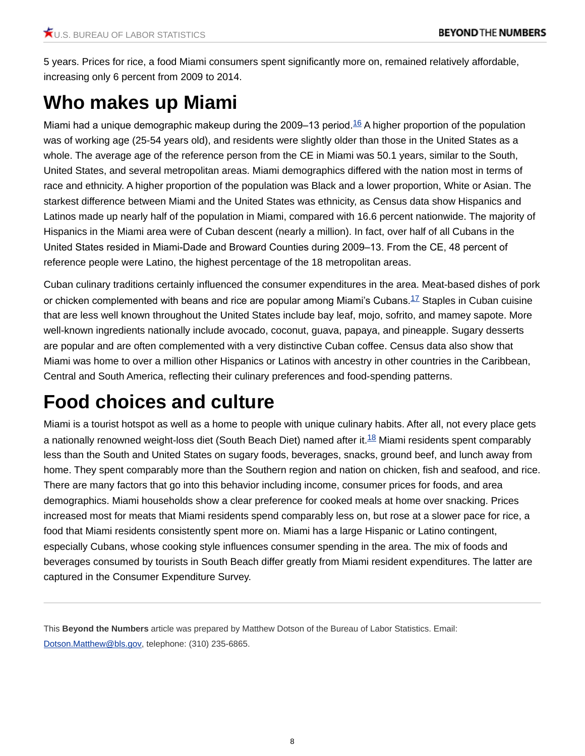5 years. Prices for rice, a food Miami consumers spent significantly more on, remained relatively affordable, increasing only 6 percent from 2009 to 2014.

# **Who makes up Miami**

<span id="page-7-0"></span>Miami had a unique demographic makeup during the 2009–13 period.<sup>[16](#page-9-6)</sup> A higher proportion of the population was of working age (25-54 years old), and residents were slightly older than those in the United States as a whole. The average age of the reference person from the CE in Miami was 50.1 years, similar to the South, United States, and several metropolitan areas. Miami demographics differed with the nation most in terms of race and ethnicity. A higher proportion of the population was Black and a lower proportion, White or Asian. The starkest difference between Miami and the United States was ethnicity, as Census data show Hispanics and Latinos made up nearly half of the population in Miami, compared with 16.6 percent nationwide. The majority of Hispanics in the Miami area were of Cuban descent (nearly a million). In fact, over half of all Cubans in the United States resided in Miami-Dade and Broward Counties during 2009–13. From the CE, 48 percent of reference people were Latino, the highest percentage of the 18 metropolitan areas.

<span id="page-7-1"></span>Cuban culinary traditions certainly influenced the consumer expenditures in the area. Meat-based dishes of pork or chicken complemented with beans and rice are popular among Miami's Cubans.<sup>[17](#page-9-7)</sup> Staples in Cuban cuisine that are less well known throughout the United States include bay leaf, mojo, sofrito, and mamey sapote. More well-known ingredients nationally include avocado, coconut, guava, papaya, and pineapple. Sugary desserts are popular and are often complemented with a very distinctive Cuban coffee. Census data also show that Miami was home to over a million other Hispanics or Latinos with ancestry in other countries in the Caribbean, Central and South America, reflecting their culinary preferences and food-spending patterns.

# **Food choices and culture**

<span id="page-7-2"></span>Miami is a tourist hotspot as well as a home to people with unique culinary habits. After all, not every place gets a nationally renowned weight-loss diet (South Beach Diet) named after it. $18$  Miami residents spent comparably less than the South and United States on sugary foods, beverages, snacks, ground beef, and lunch away from home. They spent comparably more than the Southern region and nation on chicken, fish and seafood, and rice. There are many factors that go into this behavior including income, consumer prices for foods, and area demographics. Miami households show a clear preference for cooked meals at home over snacking. Prices increased most for meats that Miami residents spend comparably less on, but rose at a slower pace for rice, a food that Miami residents consistently spent more on. Miami has a large Hispanic or Latino contingent, especially Cubans, whose cooking style influences consumer spending in the area. The mix of foods and beverages consumed by tourists in South Beach differ greatly from Miami resident expenditures. The latter are captured in the Consumer Expenditure Survey.

This **Beyond the Numbers** article was prepared by Matthew Dotson of the Bureau of Labor Statistics. Email: [Dotson.Matthew@bls.gov](mailto:Dotson.Matthew@bls.gov), telephone: (310) 235-6865.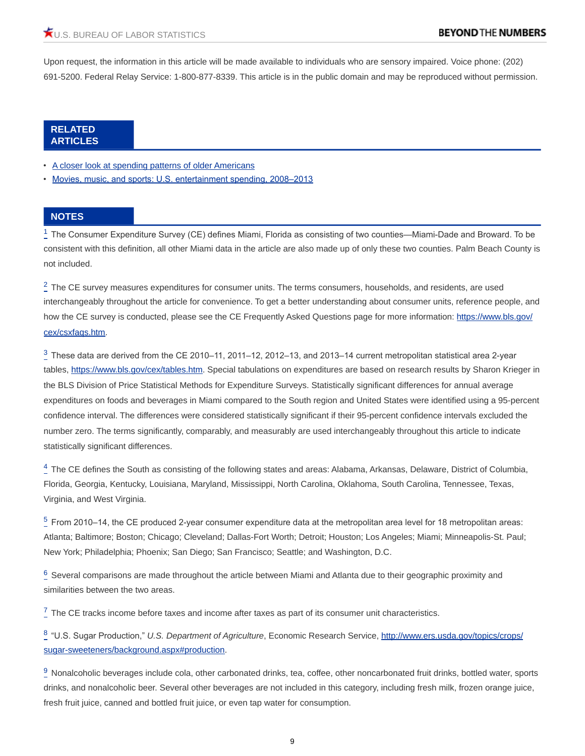Upon request, the information in this article will be made available to individuals who are sensory impaired. Voice phone: (202) 691-5200. Federal Relay Service: 1-800-877-8339. This article is in the public domain and may be reproduced without permission.

#### **RELATED ARTICLES**

- [A closer look at spending patterns of older Americans](https://www.bls.gov/opub/btn/volume-5/spending-patterns-of-older-americans.htm)
- [Movies, music, and sports: U.S. entertainment spending, 2008–2013](https://www.bls.gov/opub/btn/volume-4/movies-music-sports-entertainment-spending.htm)

#### **NOTES**

<span id="page-8-0"></span> $1\overline{ }$  $1\overline{ }$  The Consumer Expenditure Survey (CE) defines Miami, Florida as consisting of two counties—Miami-Dade and Broward. To be consistent with this definition, all other Miami data in the article are also made up of only these two counties. Palm Beach County is not included.

<span id="page-8-1"></span> $^2$  $^2$  The CE survey measures expenditures for consumer units. The terms consumers, households, and residents, are used interchangeably throughout the article for convenience. To get a better understanding about consumer units, reference people, and how the CE survey is conducted, please see the CE Frequently Asked Questions page for more information: [https://www.bls.gov/](https://www.bls.gov/cex/csxfaqs.htm) [cex/csxfaqs.htm](https://www.bls.gov/cex/csxfaqs.htm).

<span id="page-8-2"></span> $^3_ ^3_ ^3_-$  These data are derived from the CE 2010–11, 2011–12, 2012–13, and 2013–14 current metropolitan statistical area 2-year tables, <https://www.bls.gov/cex/tables.htm>. Special tabulations on expenditures are based on research results by Sharon Krieger in the BLS Division of Price Statistical Methods for Expenditure Surveys. Statistically significant differences for annual average expenditures on foods and beverages in Miami compared to the South region and United States were identified using a 95-percent confidence interval. The differences were considered statistically significant if their 95-percent confidence intervals excluded the number zero. The terms significantly, comparably, and measurably are used interchangeably throughout this article to indicate statistically significant differences.

<span id="page-8-3"></span> $^4_ ^4_ ^4_-$  The CE defines the South as consisting of the following states and areas: Alabama, Arkansas, Delaware, District of Columbia, Florida, Georgia, Kentucky, Louisiana, Maryland, Mississippi, North Carolina, Oklahoma, South Carolina, Tennessee, Texas, Virginia, and West Virginia.

<span id="page-8-4"></span> $5$  From 2010–14, the CE produced 2-year consumer expenditure data at the metropolitan area level for 18 metropolitan areas: Atlanta; Baltimore; Boston; Chicago; Cleveland; Dallas-Fort Worth; Detroit; Houston; Los Angeles; Miami; Minneapolis-St. Paul; New York; Philadelphia; Phoenix; San Diego; San Francisco; Seattle; and Washington, D.C.

<span id="page-8-5"></span> $^6_ ^6_ ^6_-$  Several comparisons are made throughout the article between Miami and Atlanta due to their geographic proximity and similarities between the two areas.

<span id="page-8-6"></span> $\frac{7}{2}$  $\frac{7}{2}$  $\frac{7}{2}$  The CE tracks income before taxes and income after taxes as part of its consumer unit characteristics.

<span id="page-8-7"></span>[8](#page-2-0) "U.S. Sugar Production," *U.S. Department of Agriculture*, Economic Research Service, [http://www.ers.usda.gov/topics/crops/](http://www.ers.usda.gov/topics/crops/sugar-sweeteners/background.aspx#production) [sugar-sweeteners/background.aspx#production](http://www.ers.usda.gov/topics/crops/sugar-sweeteners/background.aspx#production).

<span id="page-8-8"></span> $\frac{9}{2}$  $\frac{9}{2}$  $\frac{9}{2}$  Nonalcoholic beverages include cola, other carbonated drinks, tea, coffee, other noncarbonated fruit drinks, bottled water, sports drinks, and nonalcoholic beer. Several other beverages are not included in this category, including fresh milk, frozen orange juice, fresh fruit juice, canned and bottled fruit juice, or even tap water for consumption.